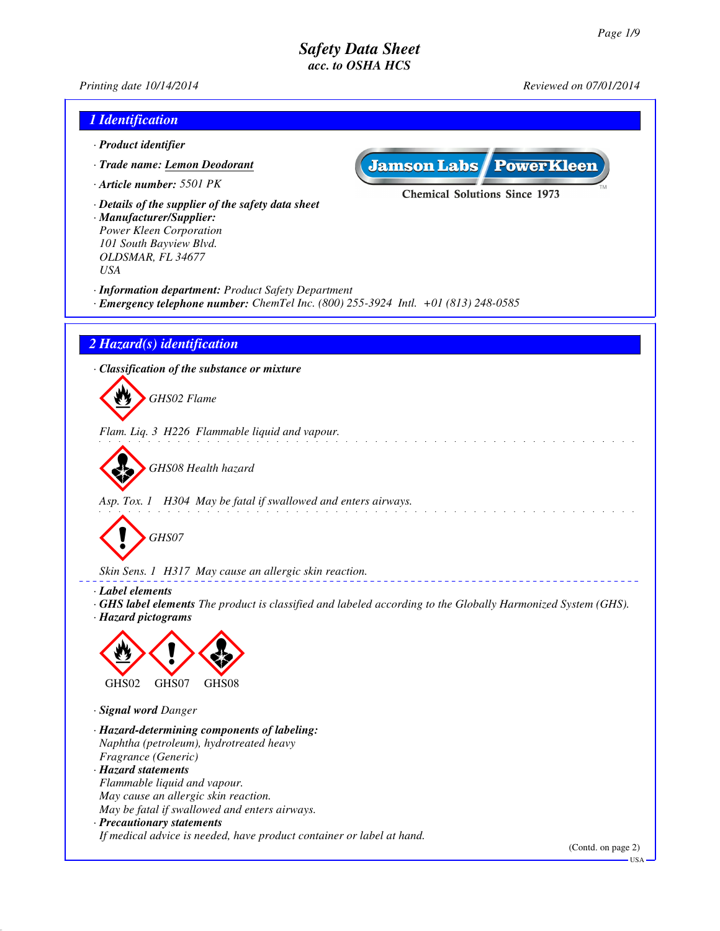*Printing date 10/14/2014 Reviewed on 07/01/2014*

| 1 Identification                                                                                                                          |                                  |
|-------------------------------------------------------------------------------------------------------------------------------------------|----------------------------------|
| · Product identifier                                                                                                                      |                                  |
| <b>Jamson Labs PowerKleen</b><br>· Trade name: Lemon Deodorant                                                                            |                                  |
| · Article number: 5501 PK                                                                                                                 |                                  |
| <b>Chemical Solutions Since 1973</b>                                                                                                      |                                  |
| · Details of the supplier of the safety data sheet<br>· Manufacturer/Supplier:                                                            |                                  |
| Power Kleen Corporation                                                                                                                   |                                  |
| 101 South Bayview Blvd.<br>OLDSMAR, FL 34677                                                                                              |                                  |
| <b>USA</b>                                                                                                                                |                                  |
| · Information department: Product Safety Department<br>· Emergency telephone number: ChemTel Inc. (800) 255-3924 Intl. +01 (813) 248-0585 |                                  |
| 2 Hazard(s) identification                                                                                                                |                                  |
| · Classification of the substance or mixture                                                                                              |                                  |
| GHS02 Flame                                                                                                                               |                                  |
|                                                                                                                                           |                                  |
| Flam. Liq. 3 H226 Flammable liquid and vapour.                                                                                            |                                  |
|                                                                                                                                           |                                  |
| GHS08 Health hazard                                                                                                                       |                                  |
|                                                                                                                                           |                                  |
| Asp. Tox. 1 H304 May be fatal if swallowed and enters airways.                                                                            |                                  |
|                                                                                                                                           |                                  |
| GHS07                                                                                                                                     |                                  |
|                                                                                                                                           |                                  |
| Skin Sens. 1 H317 May cause an allergic skin reaction.                                                                                    |                                  |
| · Label elements<br>GHS label elements The product is classified and labeled according to the Globally Harmonized System (GHS).           |                                  |
| · Hazard pictograms                                                                                                                       |                                  |
|                                                                                                                                           |                                  |
|                                                                                                                                           |                                  |
| GHS02<br>GHS07<br>GHS08                                                                                                                   |                                  |
| · Signal word Danger                                                                                                                      |                                  |
| · Hazard-determining components of labeling:                                                                                              |                                  |
| Naphtha (petroleum), hydrotreated heavy<br>Fragrance (Generic)                                                                            |                                  |
| · Hazard statements                                                                                                                       |                                  |
| Flammable liquid and vapour.                                                                                                              |                                  |
| May cause an allergic skin reaction.<br>May be fatal if swallowed and enters airways.                                                     |                                  |
| · Precautionary statements                                                                                                                |                                  |
| If medical advice is needed, have product container or label at hand.                                                                     |                                  |
|                                                                                                                                           | (Contd. on page 2)<br><b>USA</b> |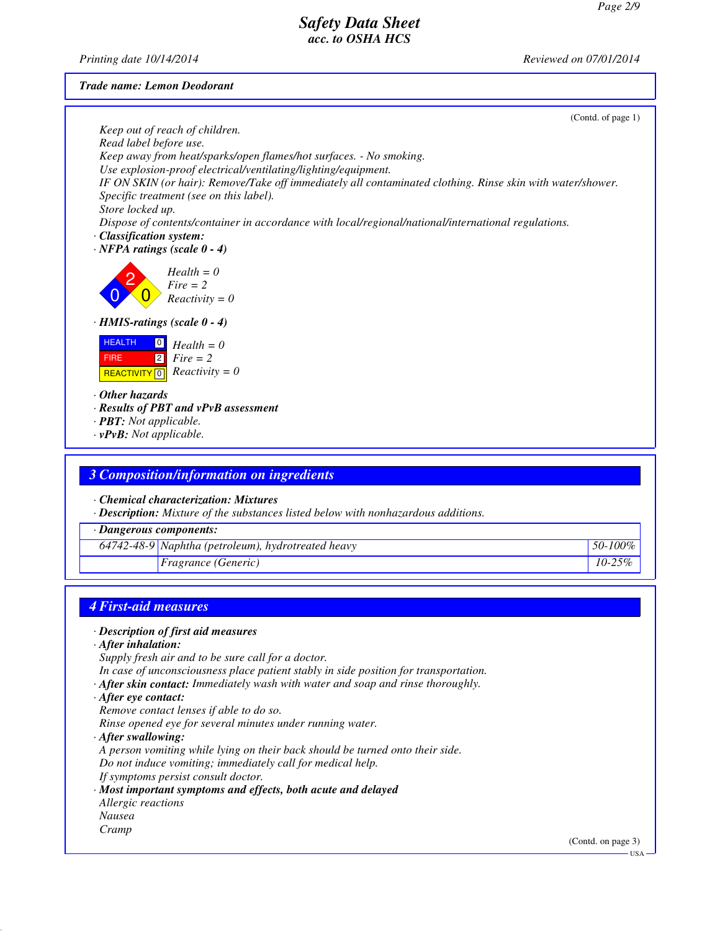*Printing date 10/14/2014 Reviewed on 07/01/2014*

### *Trade name: Lemon Deodorant*

|                                                                                                            | (Contd. of page 1) |
|------------------------------------------------------------------------------------------------------------|--------------------|
| Keep out of reach of children.                                                                             |                    |
| Read label before use.<br>Keep away from heat/sparks/open flames/hot surfaces. - No smoking.               |                    |
| Use explosion-proof electrical/ventilating/lighting/equipment.                                             |                    |
| IF ON SKIN (or hair): Remove/Take off immediately all contaminated clothing. Rinse skin with water/shower. |                    |
| Specific treatment (see on this label).                                                                    |                    |
| Store locked up.                                                                                           |                    |
| Dispose of contents/container in accordance with local/regional/national/international regulations.        |                    |
| · Classification system:<br>$\cdot$ NFPA ratings (scale 0 - 4)                                             |                    |
|                                                                                                            |                    |
| $Health = 0$                                                                                               |                    |
| $Fire = 2$                                                                                                 |                    |
| $Reactivity = 0$                                                                                           |                    |
| $\cdot$ HMIS-ratings (scale $0 - 4$ )                                                                      |                    |
| <b>HEALTH</b><br>$\boxed{0}$<br>$Health = 0$                                                               |                    |
| $\boxed{2}$<br>$Fire = 2$<br><b>FIRE</b>                                                                   |                    |
| <b>REACTIVITY</b> $\boxed{0}$ <i>Reactivity</i> = 0                                                        |                    |
| $\cdot$ Other hazards                                                                                      |                    |
| · Results of PBT and vPvB assessment                                                                       |                    |
| · <b>PBT</b> : Not applicable.                                                                             |                    |
| $\cdot$ vPvB: Not applicable.                                                                              |                    |
|                                                                                                            |                    |
| <b>3 Composition/information on ingredients</b>                                                            |                    |
| Chemical characterization: Mixtures                                                                        |                    |
| · Description: Mixture of the substances listed below with nonhazardous additions.                         |                    |
| · Dangerous components:                                                                                    |                    |
|                                                                                                            |                    |
| 64742-48-9 Naphtha (petroleum), hydrotreated heavy                                                         | 50-100%            |
| Fragrance (Generic)                                                                                        | $10 - 25%$         |
|                                                                                                            |                    |
| <b>4 First-aid measures</b>                                                                                |                    |
|                                                                                                            |                    |

### *· Description of first aid measures*

*· After inhalation:*

*Supply fresh air and to be sure call for a doctor.*

- *In case of unconsciousness place patient stably in side position for transportation.*
- *· After skin contact: Immediately wash with water and soap and rinse thoroughly.*
- *· After eye contact:*
- *Remove contact lenses if able to do so.*

*Rinse opened eye for several minutes under running water.*

*· After swallowing:*

*A person vomiting while lying on their back should be turned onto their side. Do not induce vomiting; immediately call for medical help.*

- 
- *If symptoms persist consult doctor.*
- *· Most important symptoms and effects, both acute and delayed*
- *Allergic reactions Nausea*
- 
- *Cramp*

(Contd. on page 3)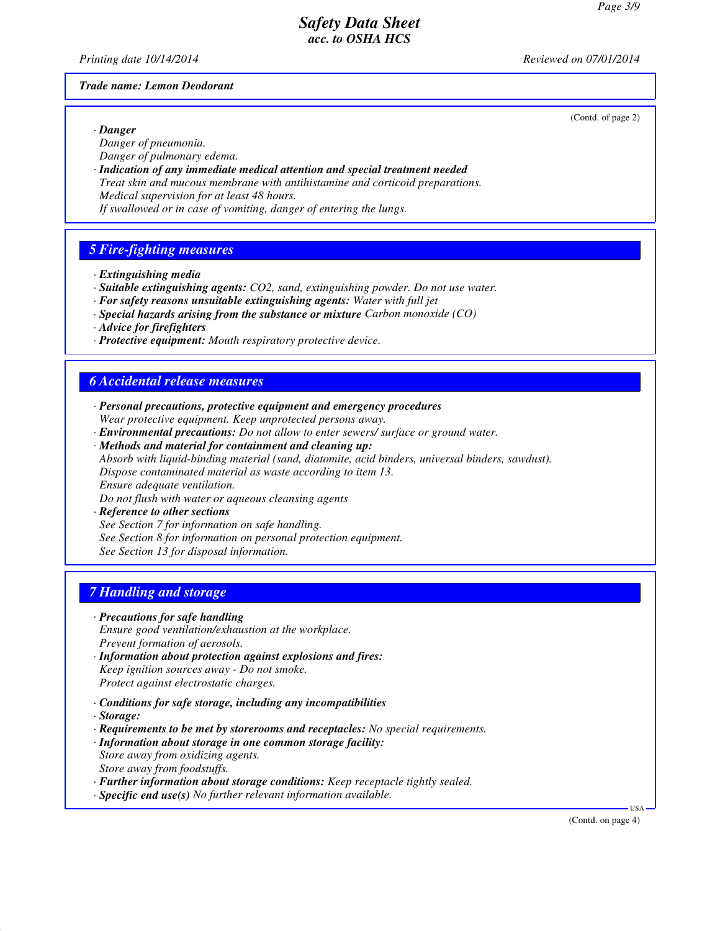*Printing date 10/14/2014 Reviewed on 07/01/2014*

### *Trade name: Lemon Deodorant*

(Contd. of page 2)

*· Danger Danger of pneumonia.*

- *Danger of pulmonary edema.*
- *· Indication of any immediate medical attention and special treatment needed Treat skin and mucous membrane with antihistamine and corticoid preparations. Medical supervision for at least 48 hours.*

*If swallowed or in case of vomiting, danger of entering the lungs.*

## *5 Fire-fighting measures*

- *· Extinguishing media*
- *· Suitable extinguishing agents: CO2, sand, extinguishing powder. Do not use water.*
- *· For safety reasons unsuitable extinguishing agents: Water with full jet*
- *· Special hazards arising from the substance or mixture Carbon monoxide (CO)*
- *· Advice for firefighters*
- *· Protective equipment: Mouth respiratory protective device.*

## *6 Accidental release measures*

- *· Personal precautions, protective equipment and emergency procedures Wear protective equipment. Keep unprotected persons away.*
- *· Environmental precautions: Do not allow to enter sewers/ surface or ground water.*
- *· Methods and material for containment and cleaning up: Absorb with liquid-binding material (sand, diatomite, acid binders, universal binders, sawdust).*

*Dispose contaminated material as waste according to item 13.*

*Ensure adequate ventilation.*

*Do not flush with water or aqueous cleansing agents*

*· Reference to other sections*

*See Section 7 for information on safe handling.*

*See Section 8 for information on personal protection equipment.*

*See Section 13 for disposal information.*

## *7 Handling and storage*

### *· Precautions for safe handling*

*Ensure good ventilation/exhaustion at the workplace. Prevent formation of aerosols.*

- *· Information about protection against explosions and fires: Keep ignition sources away - Do not smoke. Protect against electrostatic charges.*
- *· Conditions for safe storage, including any incompatibilities*
- *· Storage:*
- *· Requirements to be met by storerooms and receptacles: No special requirements.*
- *· Information about storage in one common storage facility: Store away from oxidizing agents. Store away from foodstuffs.*
- *· Further information about storage conditions: Keep receptacle tightly sealed.*
- *· Specific end use(s) No further relevant information available.*

(Contd. on page 4)

USA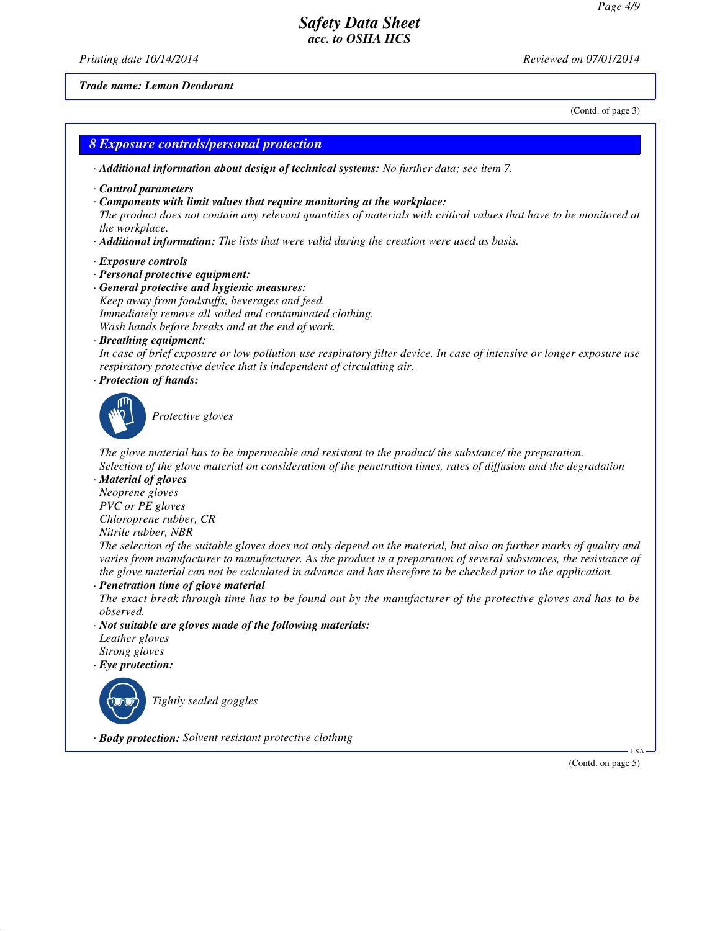*Printing date 10/14/2014 Reviewed on 07/01/2014*

#### *Trade name: Lemon Deodorant*

(Contd. of page 3)

### *8 Exposure controls/personal protection*

*· Additional information about design of technical systems: No further data; see item 7.*

- *· Control parameters*
- *· Components with limit values that require monitoring at the workplace:*

*The product does not contain any relevant quantities of materials with critical values that have to be monitored at the workplace.*

- *· Additional information: The lists that were valid during the creation were used as basis.*
- *· Exposure controls*
- *· Personal protective equipment:*
- *· General protective and hygienic measures: Keep away from foodstuffs, beverages and feed. Immediately remove all soiled and contaminated clothing. Wash hands before breaks and at the end of work.*
- *· Breathing equipment:*

*In case of brief exposure or low pollution use respiratory filter device. In case of intensive or longer exposure use respiratory protective device that is independent of circulating air.*

*· Protection of hands:*



`S*Protective gloves*

*The glove material has to be impermeable and resistant to the product/ the substance/ the preparation. Selection of the glove material on consideration of the penetration times, rates of diffusion and the degradation*

*· Material of gloves*

*Neoprene gloves PVC or PE gloves*

*Chloroprene rubber, CR Nitrile rubber, NBR*

*The selection of the suitable gloves does not only depend on the material, but also on further marks of quality and varies from manufacturer to manufacturer. As the product is a preparation of several substances, the resistance of the glove material can not be calculated in advance and has therefore to be checked prior to the application.*

*· Penetration time of glove material*

*The exact break through time has to be found out by the manufacturer of the protective gloves and has to be observed.*

*· Not suitable are gloves made of the following materials:*

*Leather gloves Strong gloves*

*· Eye protection:*



`R*Tightly sealed goggles*

*· Body protection: Solvent resistant protective clothing*

(Contd. on page 5)

USA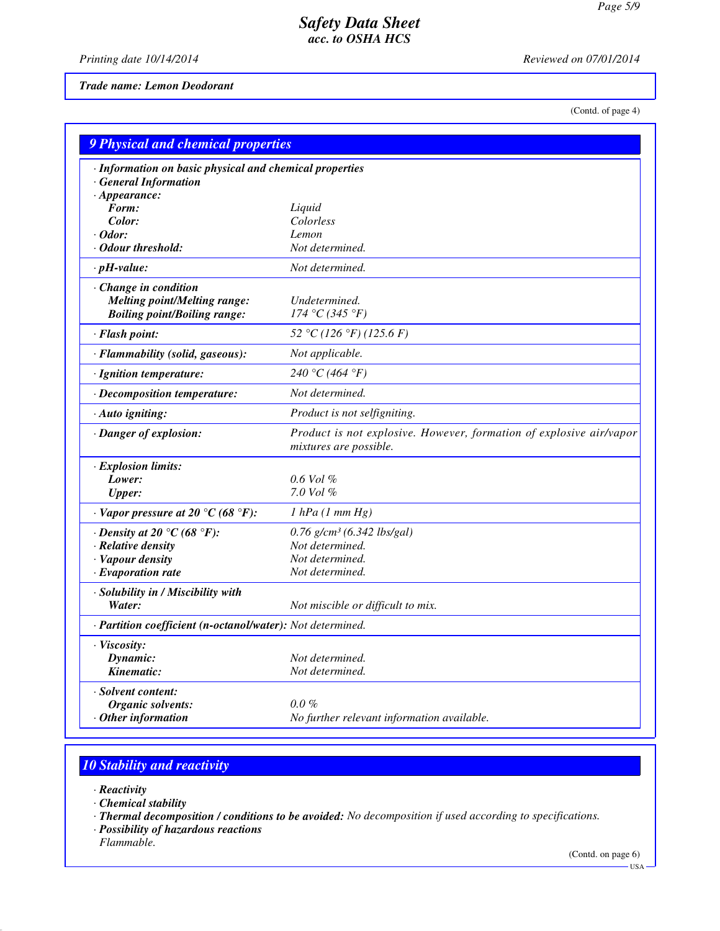*Printing date 10/14/2014 Reviewed on 07/01/2014*

*Trade name: Lemon Deodorant*

(Contd. of page 4)

| 9 Physical and chemical properties                         |                                                                                               |
|------------------------------------------------------------|-----------------------------------------------------------------------------------------------|
| · Information on basic physical and chemical properties    |                                                                                               |
| <b>General Information</b>                                 |                                                                                               |
| $\cdot$ Appearance:                                        |                                                                                               |
| Form:                                                      | Liquid                                                                                        |
| Color:                                                     | Colorless                                                                                     |
| $\cdot$ Odor:                                              | Lemon                                                                                         |
| · Odour threshold:                                         | Not determined.                                                                               |
| $\cdot$ pH-value:                                          | Not determined.                                                                               |
| · Change in condition                                      |                                                                                               |
| <b>Melting point/Melting range:</b>                        | Undetermined.                                                                                 |
| <b>Boiling point/Boiling range:</b>                        | 174 °C (345 °F)                                                                               |
| · Flash point:                                             | 52 °C (126 °F) (125.6 F)                                                                      |
| · Flammability (solid, gaseous):                           | Not applicable.                                                                               |
| · Ignition temperature:                                    | 240 °C (464 °F)                                                                               |
| · Decomposition temperature:                               | Not determined.                                                                               |
| · Auto igniting:                                           | Product is not selfigniting.                                                                  |
| · Danger of explosion:                                     | Product is not explosive. However, formation of explosive air/vapor<br>mixtures are possible. |
| · Explosion limits:                                        |                                                                                               |
| Lower:                                                     | $0.6$ Vol $%$                                                                                 |
| <b>Upper:</b>                                              | $7.0$ Vol $%$                                                                                 |
| $\cdot$ Vapor pressure at 20 °C (68 °F):                   | $1$ hPa $(1$ mm $Hg)$                                                                         |
| $\cdot$ Density at 20 °C (68 °F):                          | $0.76$ g/cm <sup>3</sup> (6.342 lbs/gal)                                                      |
| · Relative density                                         | Not determined.                                                                               |
| · Vapour density                                           | Not determined.                                                                               |
| $\cdot$ Evaporation rate                                   | Not determined.                                                                               |
| · Solubility in / Miscibility with                         |                                                                                               |
| Water:                                                     | Not miscible or difficult to mix.                                                             |
| · Partition coefficient (n-octanol/water): Not determined. |                                                                                               |
| · Viscosity:                                               |                                                                                               |
| Dynamic:                                                   | Not determined.                                                                               |
| Kinematic:                                                 | Not determined.                                                                               |
| · Solvent content:                                         |                                                                                               |
| Organic solvents:                                          | $0.0\%$                                                                                       |
| $·$ Other information                                      | No further relevant information available.                                                    |

# *10 Stability and reactivity*

- *· Reactivity*
- *· Chemical stability*
- *· Thermal decomposition / conditions to be avoided: No decomposition if used according to specifications.*
- *· Possibility of hazardous reactions*
- *Flammable.*

(Contd. on page 6)

 $-$  USA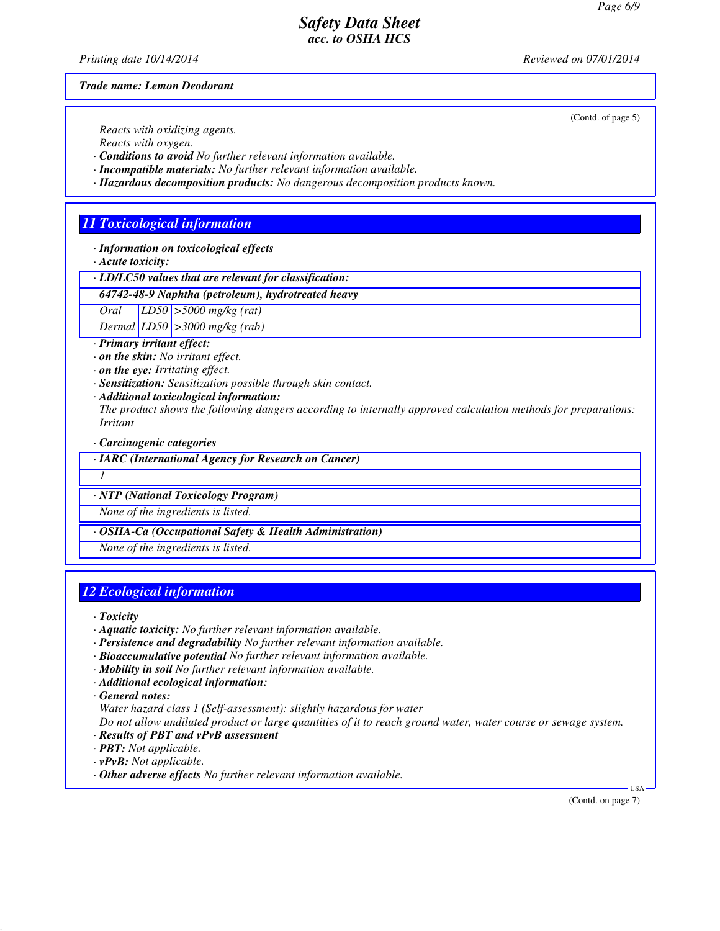*Printing date 10/14/2014 Reviewed on 07/01/2014*

(Contd. of page 5)

*Trade name: Lemon Deodorant*

*Reacts with oxidizing agents.*

*Reacts with oxygen.*

*· Conditions to avoid No further relevant information available.*

*· Incompatible materials: No further relevant information available.*

*· Hazardous decomposition products: No dangerous decomposition products known.*

## *11 Toxicological information*

*· Information on toxicological effects*

*· Acute toxicity:*

*· LD/LC50 values that are relevant for classification:*

*64742-48-9 Naphtha (petroleum), hydrotreated heavy*

*Oral LD50 >5000 mg/kg (rat)*

*Dermal LD50 >3000 mg/kg (rab)*

*· Primary irritant effect:*

*· on the skin: No irritant effect.*

*· on the eye: Irritating effect.*

*· Sensitization: Sensitization possible through skin contact.*

*· Additional toxicological information:*

*The product shows the following dangers according to internally approved calculation methods for preparations: Irritant*

*· Carcinogenic categories*

*· IARC (International Agency for Research on Cancer)*

*1* 

*· NTP (National Toxicology Program)*

*None of the ingredients is listed.*

*· OSHA-Ca (Occupational Safety & Health Administration)*

*None of the ingredients is listed.*

## *12 Ecological information*

*· Toxicity*

- *· Aquatic toxicity: No further relevant information available.*
- *· Persistence and degradability No further relevant information available.*
- *· Bioaccumulative potential No further relevant information available.*
- *· Mobility in soil No further relevant information available.*
- *· Additional ecological information:*

*· General notes:*

*Water hazard class 1 (Self-assessment): slightly hazardous for water*

*Do not allow undiluted product or large quantities of it to reach ground water, water course or sewage system.*

- *· Results of PBT and vPvB assessment*
- *· PBT: Not applicable.*
- *· vPvB: Not applicable.*
- *· Other adverse effects No further relevant information available.*

(Contd. on page 7)

USA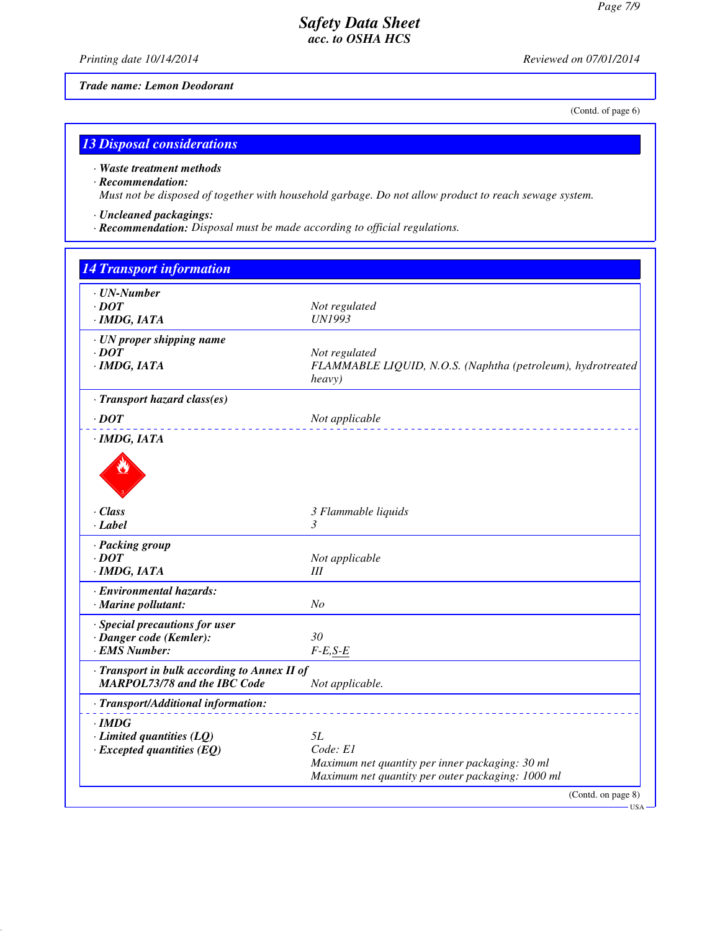*Printing date 10/14/2014 Reviewed on 07/01/2014*

*Trade name: Lemon Deodorant*

(Contd. of page 6)

# *13 Disposal considerations*

## *· Waste treatment methods*

### *· Recommendation:*

*Must not be disposed of together with household garbage. Do not allow product to reach sewage system.*

- *· Uncleaned packagings:*
- *· Recommendation: Disposal must be made according to official regulations.*

| $\cdot$ UN-Number                                                            |                                                                                                      |  |
|------------------------------------------------------------------------------|------------------------------------------------------------------------------------------------------|--|
| $\cdot$ DOT                                                                  | Not regulated                                                                                        |  |
| $·$ <i>IMDG, IATA</i>                                                        | <b>UN1993</b>                                                                                        |  |
| · UN proper shipping name                                                    |                                                                                                      |  |
| $\cdot$ <i>DOT</i>                                                           | Not regulated                                                                                        |  |
| · IMDG, IATA                                                                 | FLAMMABLE LIQUID, N.O.S. (Naphtha (petroleum), hydrotreated                                          |  |
|                                                                              | heavy)                                                                                               |  |
| · Transport hazard class(es)                                                 |                                                                                                      |  |
| $\cdot$ DOT                                                                  | Not applicable                                                                                       |  |
| $\cdot$ IMDG, IATA                                                           |                                                                                                      |  |
|                                                                              |                                                                                                      |  |
| · Class                                                                      | 3 Flammable liquids                                                                                  |  |
| $-Label$                                                                     | 3                                                                                                    |  |
| · Packing group                                                              |                                                                                                      |  |
| $\cdot$ <i>DOT</i>                                                           | Not applicable                                                                                       |  |
| $·$ <i>IMDG, IATA</i>                                                        | III                                                                                                  |  |
| · Environmental hazards:                                                     |                                                                                                      |  |
| $\cdot$ Marine pollutant:                                                    | No                                                                                                   |  |
| · Special precautions for user                                               |                                                                                                      |  |
| · Danger code (Kemler):                                                      | 30                                                                                                   |  |
| · EMS Number:                                                                | $F-E,S-E$                                                                                            |  |
| · Transport in bulk according to Annex II of<br>MARPOL73/78 and the IBC Code | Not applicable.                                                                                      |  |
| · Transport/Additional information:                                          |                                                                                                      |  |
| $\cdot$ IMDG                                                                 |                                                                                                      |  |
| $\cdot$ Limited quantities (LQ)                                              | 5L                                                                                                   |  |
| $\cdot$ Excepted quantities (EQ)                                             | Code: E1                                                                                             |  |
|                                                                              | Maximum net quantity per inner packaging: 30 ml<br>Maximum net quantity per outer packaging: 1000 ml |  |
|                                                                              |                                                                                                      |  |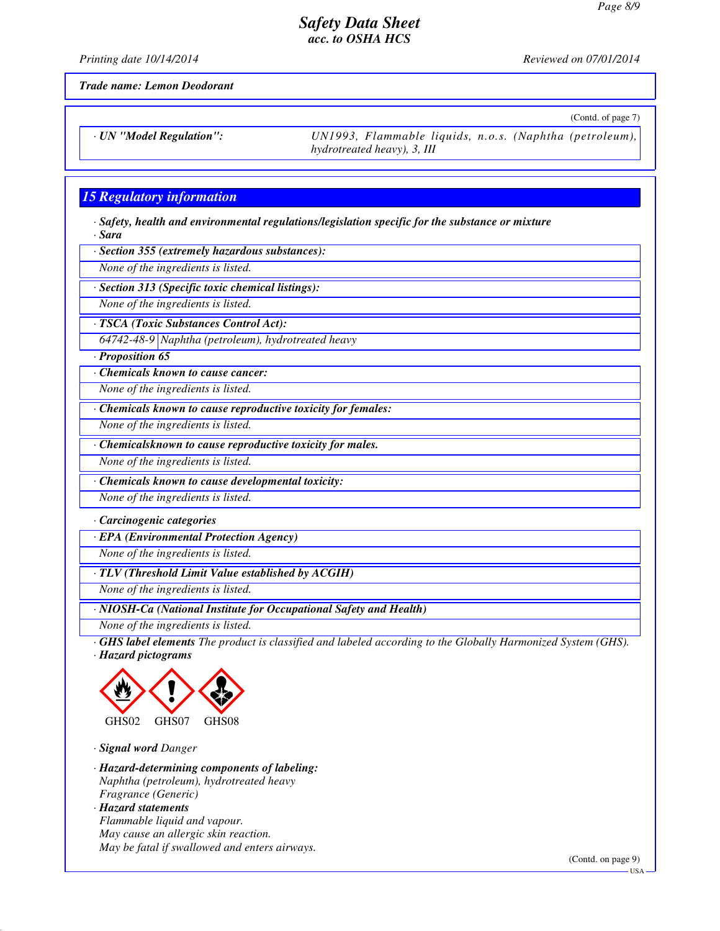*Printing date 10/14/2014 Reviewed on 07/01/2014*

(Contd. of page 7)

*Trade name: Lemon Deodorant*

*· UN "Model Regulation": UN1993, Flammable liquids, n.o.s. (Naphtha (petroleum), hydrotreated heavy), 3, III*

## *15 Regulatory information*

*· Safety, health and environmental regulations/legislation specific for the substance or mixture · Sara*

*· Section 355 (extremely hazardous substances):*

*None of the ingredients is listed.*

*· Section 313 (Specific toxic chemical listings):*

*None of the ingredients is listed.*

*· TSCA (Toxic Substances Control Act):*

*64742-48-9 Naphtha (petroleum), hydrotreated heavy*

*· Proposition 65*

*· Chemicals known to cause cancer:*

*None of the ingredients is listed.*

*· Chemicals known to cause reproductive toxicity for females:*

*None of the ingredients is listed.*

*· Chemicalsknown to cause reproductive toxicity for males.*

*None of the ingredients is listed.*

*· Chemicals known to cause developmental toxicity:*

*None of the ingredients is listed.*

*· Carcinogenic categories*

*· EPA (Environmental Protection Agency)*

*None of the ingredients is listed.*

*· TLV (Threshold Limit Value established by ACGIH)*

*None of the ingredients is listed.*

*· NIOSH-Ca (National Institute for Occupational Safety and Health)*

*None of the ingredients is listed.*

*· GHS label elements The product is classified and labeled according to the Globally Harmonized System (GHS). · Hazard pictograms*



*· Signal word Danger*

*· Hazard-determining components of labeling: Naphtha (petroleum), hydrotreated heavy Fragrance (Generic) · Hazard statements Flammable liquid and vapour. May cause an allergic skin reaction. May be fatal if swallowed and enters airways.*

(Contd. on page 9)

USA